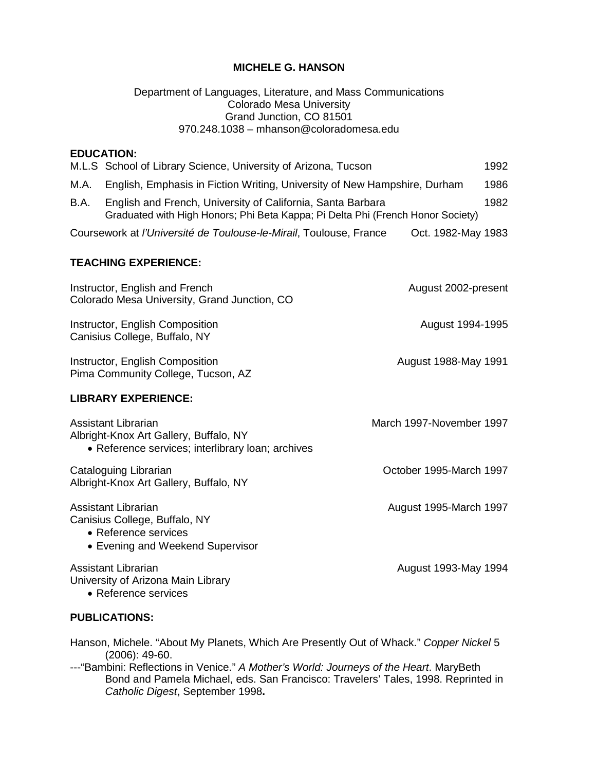### **MICHELE G. HANSON**

#### Department of Languages, Literature, and Mass Communications Colorado Mesa University Grand Junction, CO 81501 970.248.1038 – mhanson@coloradomesa.edu

# **EDUCATION:** M.L.S School of Library Science, University of Arizona, Tucson 1992 M.A. English, Emphasis in Fiction Writing, University of New Hampshire, Durham 1986 B.A. English and French, University of California, Santa Barbara 1982 Graduated with High Honors; Phi Beta Kappa; Pi Delta Phi (French Honor Society) Coursework at *l'Université de Toulouse-le-Mirail*, Toulouse, France Oct. 1982-May 1983 **TEACHING EXPERIENCE:** Instructor, English and French August 2002-present Colorado Mesa University, Grand Junction, CO Instructor, English Composition **August 1994-1995 August 1994-1995** Canisius College, Buffalo, NY Instructor, English Composition **August 1988-May 1991** August 1988-May 1991 Pima Community College, Tucson, AZ **LIBRARY EXPERIENCE:** Assistant Librarian March 1997-November 1997 Albright-Knox Art Gallery, Buffalo, NY • Reference services; interlibrary loan; archives Cataloguing Librarian October 1995-March 1997 Albright-Knox Art Gallery, Buffalo, NY Assistant Librarian August 1995-March 1997 Canisius College, Buffalo, NY • Reference services • Evening and Weekend Supervisor Assistant Librarian August 1993-May 1994 University of Arizona Main Library • Reference services

### **PUBLICATIONS:**

Hanson, Michele. "About My Planets, Which Are Presently Out of Whack." *Copper Nickel* 5 (2006): 49-60.

---"Bambini: Reflections in Venice." *A Mother's World: Journeys of the Heart*. MaryBeth Bond and Pamela Michael, eds. San Francisco: Travelers' Tales, 1998. Reprinted in *Catholic Digest*, September 1998**.**